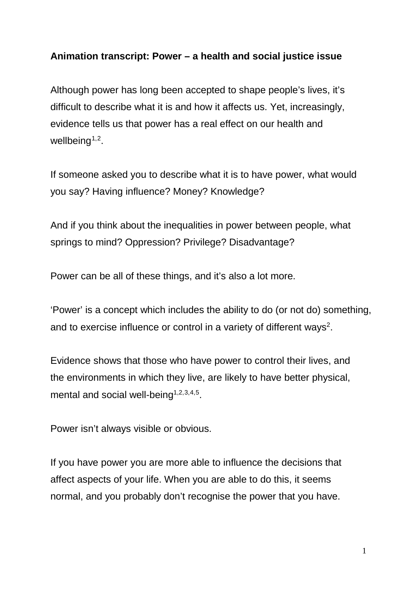## **Animation transcript: Power – a health and social justice issue**

Although power has long been accepted to shape people's lives, it's difficult to describe what it is and how it affects us. Yet, increasingly, evidence tells us that power has a real effect on our health and wellbeing<sup> $1,2$  $1,2$ </sup>.

<span id="page-0-1"></span><span id="page-0-0"></span>If someone asked you to describe what it is to have power, what would you say? Having influence? Money? Knowledge?

And if you think about the inequalities in power between people, what springs to mind? Oppression? Privilege? Disadvantage?

Power can be all of these things, and it's also a lot more.

'Power' is a concept which includes the ability to do (or not do) something, and to exercise influence or control in a variety of different ways<sup>2</sup>.

Evidence shows that those who have power to control their lives, and the environments in which they live, are likely to have better physical, mental and social well-being<sup> $1,2,3,4,5$  $1,2,3,4,5$  $1,2,3,4,5$  $1,2,3,4,5$  $1,2,3,4,5$  $1,2,3,4,5$  $1,2,3,4,5$ </sup>.

Power isn't always visible or obvious.

If you have power you are more able to influence the decisions that affect aspects of your life. When you are able to do this, it seems normal, and you probably don't recognise the power that you have.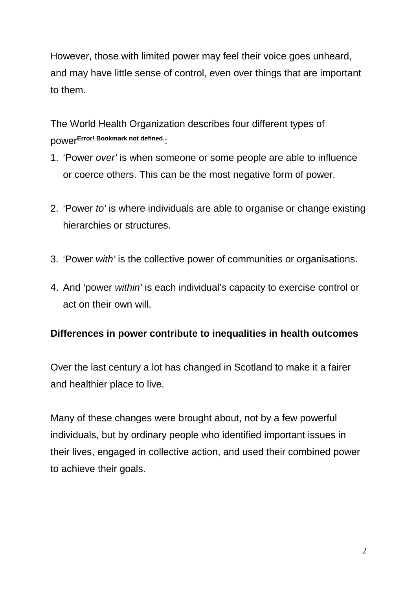However, those with limited power may feel their voice goes unheard, and may have little sense of control, even over things that are important to them.

The World Health Organization describes four different types of power**Error! Bookmark not defined.**:

- 1. 'Power *over'* is when someone or some people are able to influence or coerce others. This can be the most negative form of power.
- 2. 'Power *to'* is where individuals are able to organise or change existing hierarchies or structures.
- 3. 'Power *with'* is the collective power of communities or organisations.
- 4. And 'power *within'* is each individual's capacity to exercise control or act on their own will.

## **Differences in power contribute to inequalities in health outcomes**

Over the last century a lot has changed in Scotland to make it a fairer and healthier place to live.

Many of these changes were brought about, not by a few powerful individuals, but by ordinary people who identified important issues in their lives, engaged in collective action, and used their combined power to achieve their goals.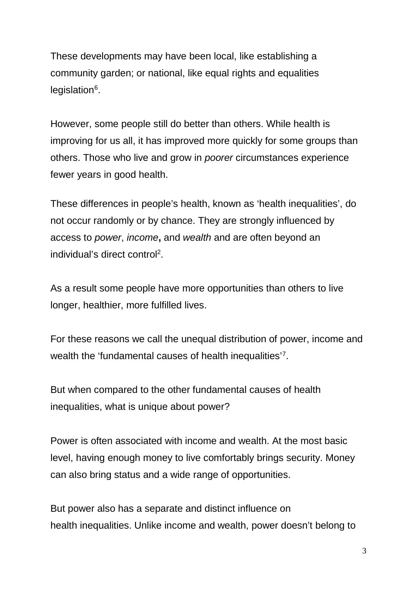These developments may have been local, like establishing a community garden; or national, like equal rights and equalities legislation<sup>6</sup>.

However, some people still do better than others. While health is improving for us all, it has improved more quickly for some groups than others. Those who live and grow in *poorer* circumstances experience fewer years in good health.

These differences in people's health, known as 'health inequalities', do not occur randomly or by chance. They are strongly influenced by access to *power*, *income***,** and *wealth* and are often beyond an individual's direct control<sup>2</sup>.

As a result some people have more opportunities than others to live longer, healthier, more fulfilled lives.

For these reasons we call the unequal distribution of power, income and wealth the 'fundamental causes of health inequalities'[7](#page-5-6).

But when compared to the other fundamental causes of health inequalities, what is unique about power?

Power is often associated with income and wealth. At the most basic level, having enough money to live comfortably brings security. Money can also bring status and a wide range of opportunities.

But power also has a separate and distinct influence on health inequalities. Unlike income and wealth, power doesn't belong to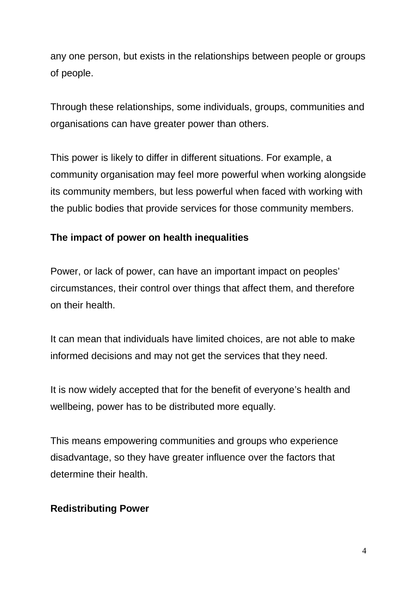any one person, but exists in the relationships between people or groups of people.

Through these relationships, some individuals, groups, communities and organisations can have greater power than others.

This power is likely to differ in different situations. For example, a community organisation may feel more powerful when working alongside its community members, but less powerful when faced with working with the public bodies that provide services for those community members.

## **The impact of power on health inequalities**

Power, or lack of power, can have an important impact on peoples' circumstances, their control over things that affect them, and therefore on their health.

It can mean that individuals have limited choices, are not able to make informed decisions and may not get the services that they need.

It is now widely accepted that for the benefit of everyone's health and wellbeing, power has to be distributed more equally.

This means empowering communities and groups who experience disadvantage, so they have greater influence over the factors that determine their health.

## **Redistributing Power**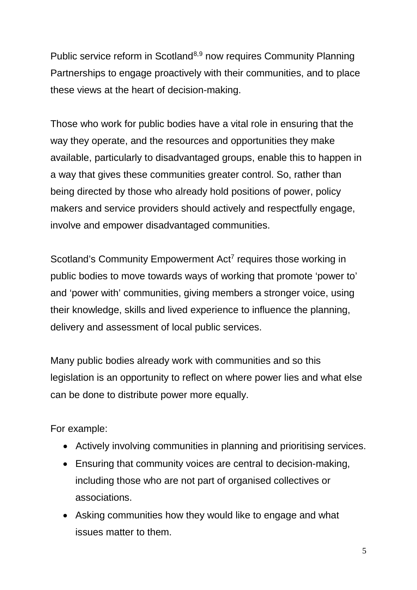Public service reform in Scotland<sup>[8](#page-5-7),[9](#page-5-8)</sup> now requires Community Planning Partnerships to engage proactively with their communities, and to place these views at the heart of decision-making.

Those who work for public bodies have a vital role in ensuring that the way they operate, and the resources and opportunities they make available, particularly to disadvantaged groups, enable this to happen in a way that gives these communities greater control. So, rather than being directed by those who already hold positions of power, policy makers and service providers should actively and respectfully engage, involve and empower disadvantaged communities.

Scotland's Community Empowerment Act<sup>7</sup> requires those working in public bodies to move towards ways of working that promote 'power to' and 'power with' communities, giving members a stronger voice, using their knowledge, skills and lived experience to influence the planning, delivery and assessment of local public services.

Many public bodies already work with communities and so this legislation is an opportunity to reflect on where power lies and what else can be done to distribute power more equally.

For example:

- Actively involving communities in planning and prioritising services.
- Ensuring that community voices are central to decision-making, including those who are not part of organised collectives or associations.
- Asking communities how they would like to engage and what issues matter to them.